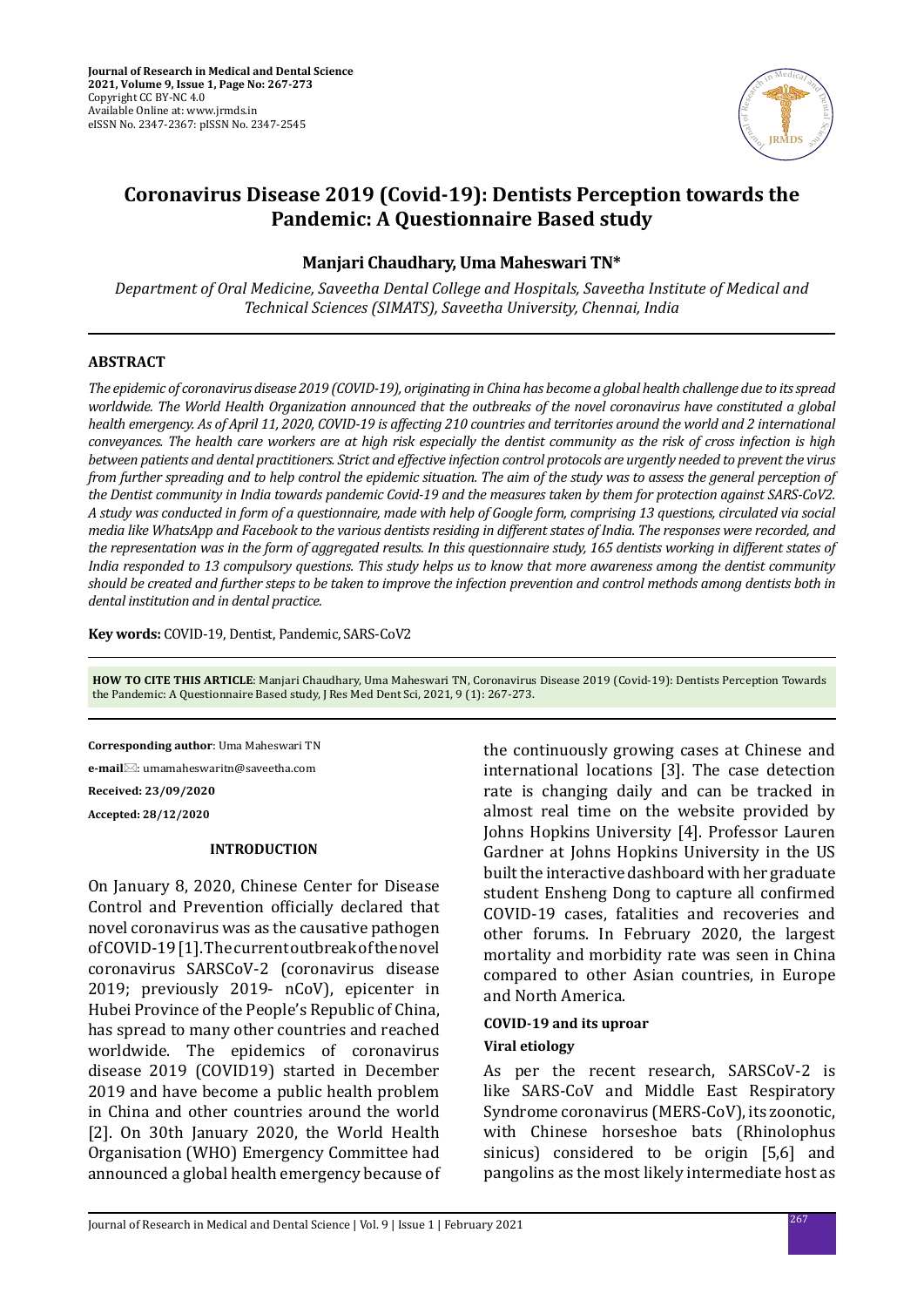

# **Coronavirus Disease 2019 (Covid-19): Dentists Perception towards the Pandemic: A Questionnaire Based study**

## **Manjari Chaudhary, Uma Maheswari TN\***

*Department of Oral Medicine, Saveetha Dental College and Hospitals, Saveetha Institute of Medical and Technical Sciences (SIMATS), Saveetha University, Chennai, India*

#### **ABSTRACT**

*The epidemic of coronavirus disease 2019 (COVID-19), originating in China has become a global health challenge due to its spread worldwide. The World Health Organization announced that the outbreaks of the novel coronavirus have constituted a global health emergency. As of April 11, 2020, COVID-19 is affecting 210 countries and territories around the world and 2 international conveyances. The health care workers are at high risk especially the dentist community as the risk of cross infection is high between patients and dental practitioners. Strict and effective infection control protocols are urgently needed to prevent the virus from further spreading and to help control the epidemic situation. The aim of the study was to assess the general perception of the Dentist community in India towards pandemic Covid-19 and the measures taken by them for protection against SARS-CoV2. A study was conducted in form of a questionnaire, made with help of Google form, comprising 13 questions, circulated via social media like WhatsApp and Facebook to the various dentists residing in different states of India. The responses were recorded, and the representation was in the form of aggregated results. In this questionnaire study, 165 dentists working in different states of India responded to 13 compulsory questions. This study helps us to know that more awareness among the dentist community should be created and further steps to be taken to improve the infection prevention and control methods among dentists both in dental institution and in dental practice.*

**Key words:** COVID-19, Dentist, Pandemic, SARS-CoV2

**HOW TO CITE THIS ARTICLE**: Manjari Chaudhary, Uma Maheswari TN, Coronavirus Disease 2019 (Covid-19): Dentists Perception Towards the Pandemic: A Questionnaire Based study, J Res Med Dent Sci, 2021, 9 (1): 267-273.

**Corresponding author**: Uma Maheswari TN

**e-mail**: umamaheswaritn@saveetha.com

**Received: 23/09/2020**

**Accepted: 28/12/2020**

#### **INTRODUCTION**

On January 8, 2020, Chinese Center for Disease Control and Prevention officially declared that novel coronavirus was as the causative pathogen of COVID-19 [1]. The current outbreak of the novel coronavirus SARSCoV-2 (coronavirus disease 2019; previously 2019- nCoV), epicenter in Hubei Province of the People's Republic of China, has spread to many other countries and reached worldwide. The epidemics of coronavirus disease 2019 (COVID19) started in December 2019 and have become a public health problem in China and other countries around the world [2]. On 30th January 2020, the World Health Organisation (WHO) Emergency Committee had announced a global health emergency because of the continuously growing cases at Chinese and international locations [3]. The case detection rate is changing daily and can be tracked in almost real time on the website provided by Johns Hopkins University [4]. Professor Lauren Gardner at Johns Hopkins University in the US built the interactive dashboard with her graduate student Ensheng Dong to capture all confirmed COVID-19 cases, fatalities and recoveries and other forums. In February 2020, the largest mortality and morbidity rate was seen in China compared to other Asian countries, in Europe and North America.

#### **COVID-19 and its uproar**

#### **Viral etiology**

As per the recent research, SARSCoV-2 is like SARS-CoV and Middle East Respiratory Syndrome coronavirus (MERS-CoV), its zoonotic, with Chinese horseshoe bats (Rhinolophus sinicus) considered to be origin [5,6] and pangolins as the most likely intermediate host as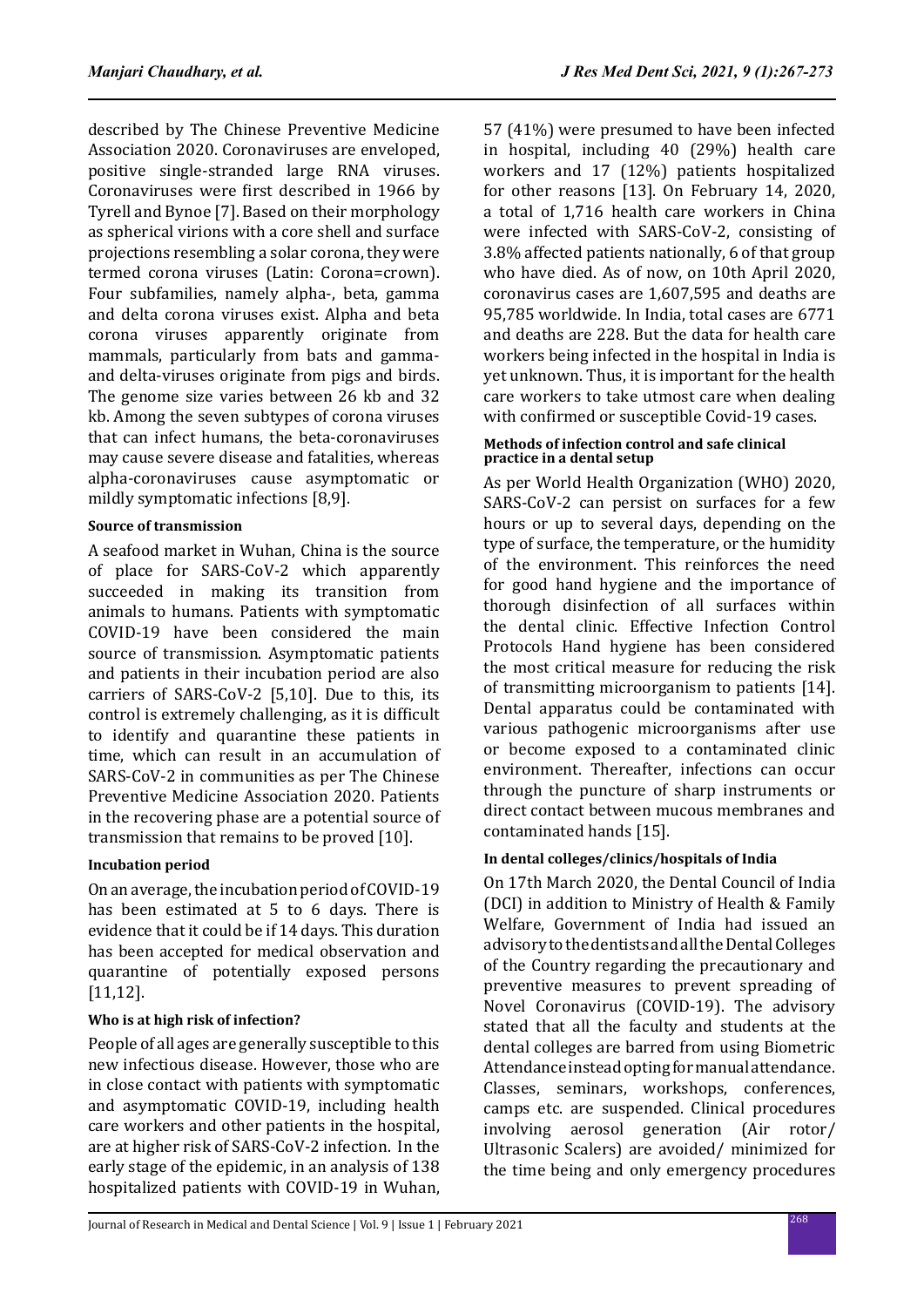described by The Chinese Preventive Medicine Association 2020. Coronaviruses are enveloped, positive single-stranded large RNA viruses. Coronaviruses were first described in 1966 by Tyrell and Bynoe [7]. Based on their morphology as spherical virions with a core shell and surface projections resembling a solar corona, they were termed corona viruses (Latin: Corona=crown). Four subfamilies, namely alpha-, beta, gamma and delta corona viruses exist. Alpha and beta corona viruses apparently originate from mammals, particularly from bats and gammaand delta-viruses originate from pigs and birds. The genome size varies between 26 kb and 32 kb. Among the seven subtypes of corona viruses that can infect humans, the beta-coronaviruses may cause severe disease and fatalities, whereas alpha-coronaviruses cause asymptomatic or mildly symptomatic infections [8,9].

# **Source of transmission**

A seafood market in Wuhan, China is the source of place for SARS-CoV-2 which apparently succeeded in making its transition from animals to humans. Patients with symptomatic COVID-19 have been considered the main source of transmission. Asymptomatic patients and patients in their incubation period are also carriers of SARS-CoV-2 [5,10]. Due to this, its control is extremely challenging, as it is difficult to identify and quarantine these patients in time, which can result in an accumulation of SARS-CoV-2 in communities as per The Chinese Preventive Medicine Association 2020. Patients in the recovering phase are a potential source of transmission that remains to be proved [10].

# **Incubation period**

On an average, the incubation period of COVID-19 has been estimated at 5 to 6 days. There is evidence that it could be if 14 days. This duration has been accepted for medical observation and quarantine of potentially exposed persons [11,12].

# **Who is at high risk of infection?**

People of all ages are generally susceptible to this new infectious disease. However, those who are in close contact with patients with symptomatic and asymptomatic COVID-19, including health care workers and other patients in the hospital, are at higher risk of SARS-CoV-2 infection. In the early stage of the epidemic, in an analysis of 138 hospitalized patients with COVID-19 in Wuhan, 57 (41%) were presumed to have been infected in hospital, including 40 (29%) health care workers and 17 (12%) patients hospitalized for other reasons [13]. On February 14, 2020, a total of 1,716 health care workers in China were infected with SARS-CoV-2, consisting of 3.8% affected patients nationally, 6 of that group who have died. As of now, on 10th April 2020, coronavirus cases are 1,607,595 and deaths are 95,785 worldwide. In India, total cases are 6771 and deaths are 228. But the data for health care workers being infected in the hospital in India is yet unknown. Thus, it is important for the health care workers to take utmost care when dealing with confirmed or susceptible Covid-19 cases.

#### **Methods of infection control and safe clinical practice in a dental setup**

As per World Health Organization (WHO) 2020, SARS-CoV-2 can persist on surfaces for a few hours or up to several days, depending on the type of surface, the temperature, or the humidity of the environment. This reinforces the need for good hand hygiene and the importance of thorough disinfection of all surfaces within the dental clinic. Effective Infection Control Protocols Hand hygiene has been considered the most critical measure for reducing the risk of transmitting microorganism to patients [14]. Dental apparatus could be contaminated with various pathogenic microorganisms after use or become exposed to a contaminated clinic environment. Thereafter, infections can occur through the puncture of sharp instruments or direct contact between mucous membranes and contaminated hands [15].

# **In dental colleges/clinics/hospitals of India**

On 17th March 2020, the Dental Council of India (DCI) in addition to Ministry of Health & Family Welfare, Government of India had issued an advisory to the dentists and all the Dental Colleges of the Country regarding the precautionary and preventive measures to prevent spreading of Novel Coronavirus (COVID-19). The advisory stated that all the faculty and students at the dental colleges are barred from using Biometric Attendance instead opting for manual attendance. Classes, seminars, workshops, conferences, camps etc. are suspended. Clinical procedures involving aerosol generation (Air rotor/ Ultrasonic Scalers) are avoided/ minimized for the time being and only emergency procedures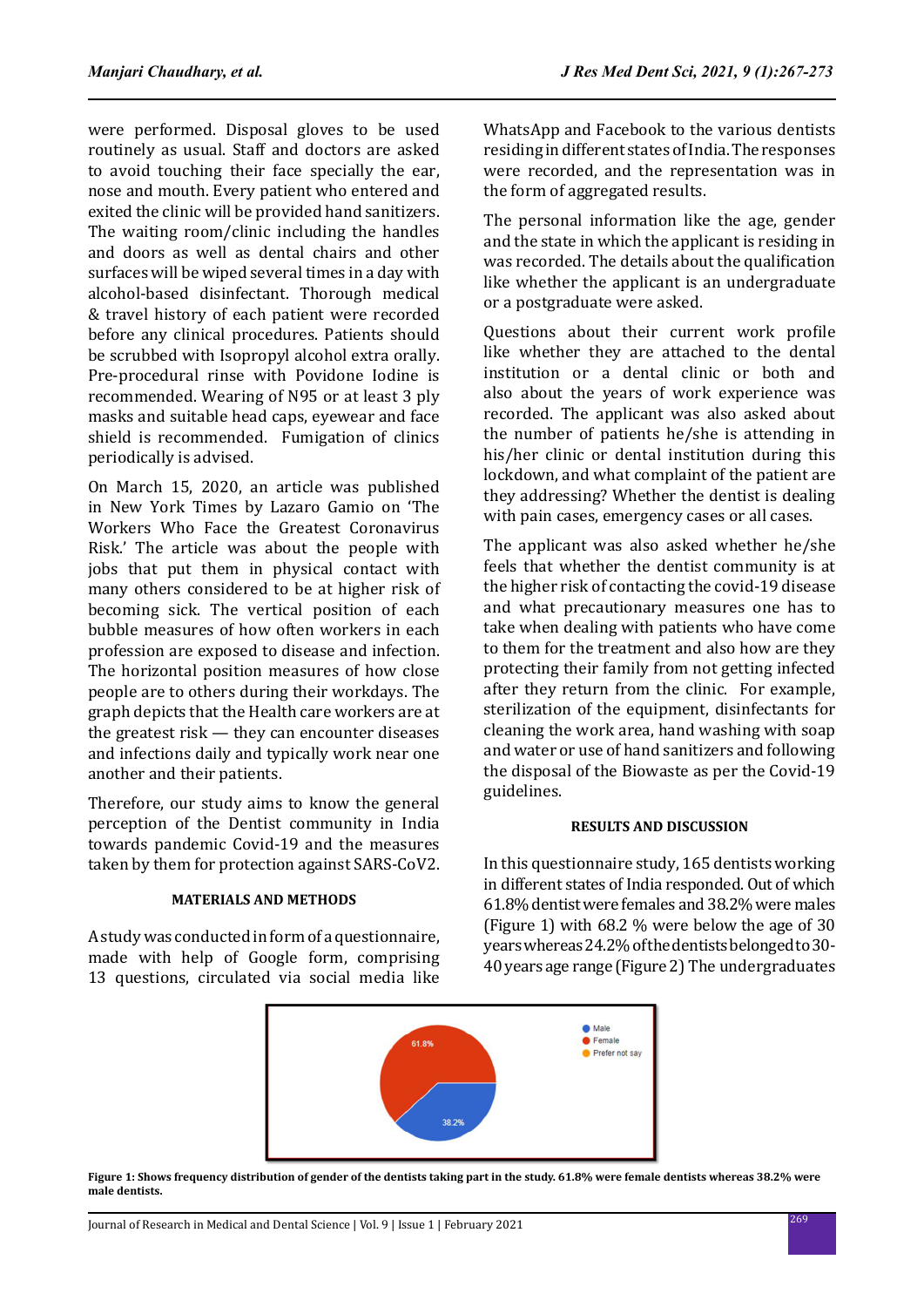were performed. Disposal gloves to be used routinely as usual. Staff and doctors are asked to avoid touching their face specially the ear, nose and mouth. Every patient who entered and exited the clinic will be provided hand sanitizers. The waiting room/clinic including the handles and doors as well as dental chairs and other surfaces will be wiped several times in a day with alcohol-based disinfectant. Thorough medical & travel history of each patient were recorded before any clinical procedures. Patients should be scrubbed with Isopropyl alcohol extra orally. Pre-procedural rinse with Povidone Iodine is recommended. Wearing of N95 or at least 3 ply masks and suitable head caps, eyewear and face shield is recommended. Fumigation of clinics periodically is advised.

On March 15, 2020, an article was published in New York Times by Lazaro Gamio on 'The Workers Who Face the Greatest Coronavirus Risk.' The article was about the people with jobs that put them in physical contact with many others considered to be at higher risk of becoming sick. The vertical position of each bubble measures of how often workers in each profession are exposed to disease and infection. The horizontal position measures of how close people are to others during their workdays. The graph depicts that the Health care workers are at the greatest risk — they can encounter diseases and infections daily and typically work near one another and their patients.

Therefore, our study aims to know the general perception of the Dentist community in India towards pandemic Covid-19 and the measures taken by them for protection against SARS-CoV2.

## **MATERIALS AND METHODS**

A study was conducted in form of a questionnaire, made with help of Google form, comprising 13 questions, circulated via social media like WhatsApp and Facebook to the various dentists residing in different states of India. The responses were recorded, and the representation was in the form of aggregated results.

The personal information like the age, gender and the state in which the applicant is residing in was recorded. The details about the qualification like whether the applicant is an undergraduate or a postgraduate were asked.

Questions about their current work profile like whether they are attached to the dental institution or a dental clinic or both and also about the years of work experience was recorded. The applicant was also asked about the number of patients he/she is attending in his/her clinic or dental institution during this lockdown, and what complaint of the patient are they addressing? Whether the dentist is dealing with pain cases, emergency cases or all cases.

The applicant was also asked whether he/she feels that whether the dentist community is at the higher risk of contacting the covid-19 disease and what precautionary measures one has to take when dealing with patients who have come to them for the treatment and also how are they protecting their family from not getting infected after they return from the clinic. For example, sterilization of the equipment, disinfectants for cleaning the work area, hand washing with soap and water or use of hand sanitizers and following the disposal of the Biowaste as per the Covid-19 guidelines.

## **RESULTS AND DISCUSSION**

In this questionnaire study, 165 dentists working in different states of India responded. Out of which 61.8% dentist were females and 38.2% were males (Figure 1) with 68.2 % were below the age of 30 years whereas 24.2% of the dentists belonged to 30- 40 years age range (Figure 2) The undergraduates



**Figure 1: Shows frequency distribution of gender of the dentists taking part in the study. 61.8% were female dentists whereas 38.2% were male dentists.**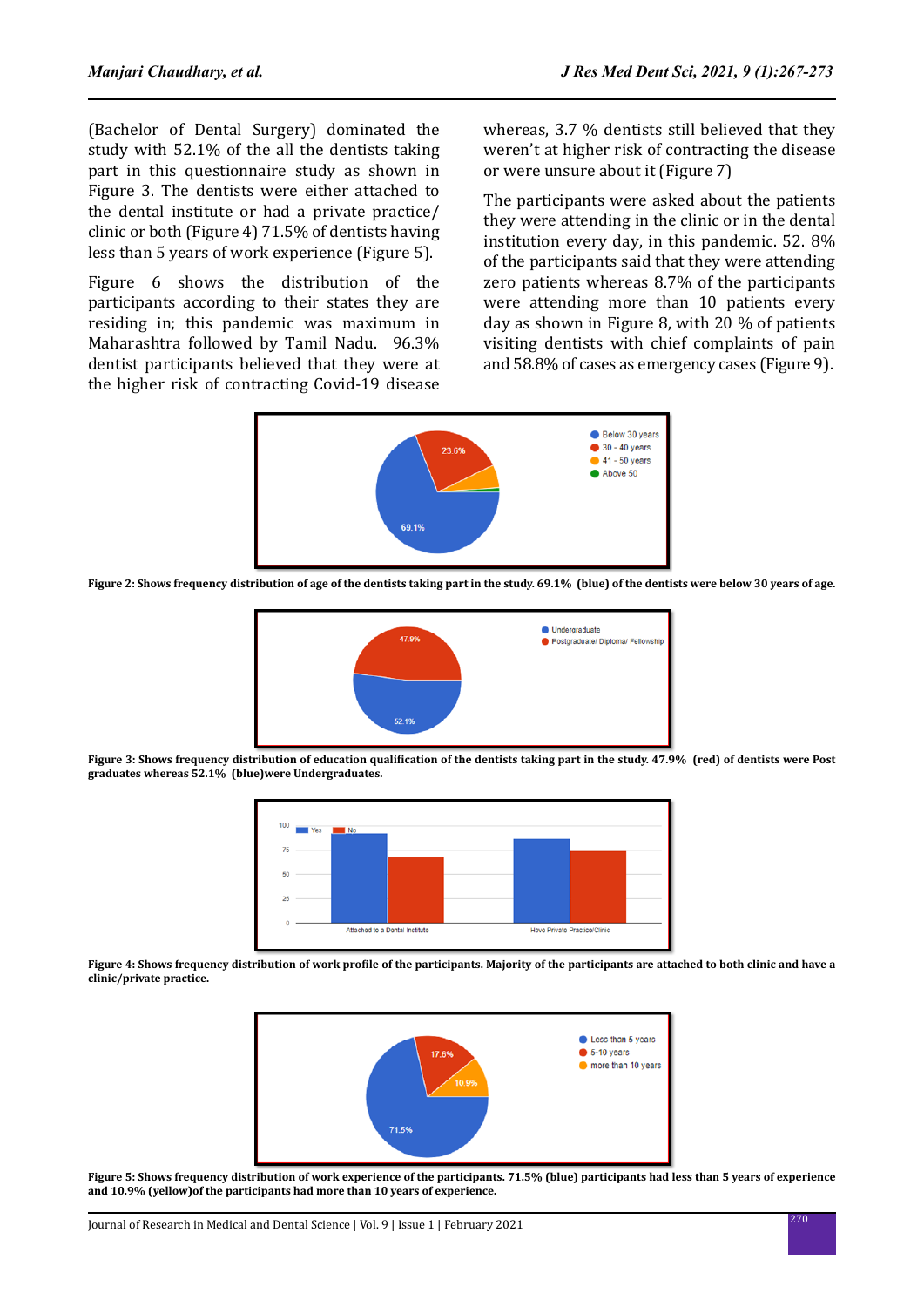(Bachelor of Dental Surgery) dominated the study with 52.1% of the all the dentists taking part in this questionnaire study as shown in Figure 3. The dentists were either attached to the dental institute or had a private practice/ clinic or both (Figure 4) 71.5% of dentists having less than 5 years of work experience (Figure 5).

Figure 6 shows the distribution of the participants according to their states they are residing in; this pandemic was maximum in Maharashtra followed by Tamil Nadu. 96.3% dentist participants believed that they were at the higher risk of contracting Covid-19 disease

whereas, 3.7 % dentists still believed that they weren't at higher risk of contracting the disease or were unsure about it (Figure 7)

The participants were asked about the patients they were attending in the clinic or in the dental institution every day, in this pandemic. 52. 8% of the participants said that they were attending zero patients whereas 8.7% of the participants were attending more than 10 patients every day as shown in Figure 8, with 20 % of patients visiting dentists with chief complaints of pain and 58.8% of cases as emergency cases (Figure 9).



**Figure 2: Shows frequency distribution of age of the dentists taking part in the study. 69.1% (blue) of the dentists were below 30 years of age.**



**Figure 3: Shows frequency distribution of education qualification of the dentists taking part in the study. 47.9% (red) of dentists were Post graduates whereas 52.1% (blue)were Undergraduates.**



**Figure 4: Shows frequency distribution of work profile of the participants. Majority of the participants are attached to both clinic and have a clinic/private practice.**



**Figure 5: Shows frequency distribution of work experience of the participants. 71.5% (blue) participants had less than 5 years of experience and 10.9% (yellow)of the participants had more than 10 years of experience.**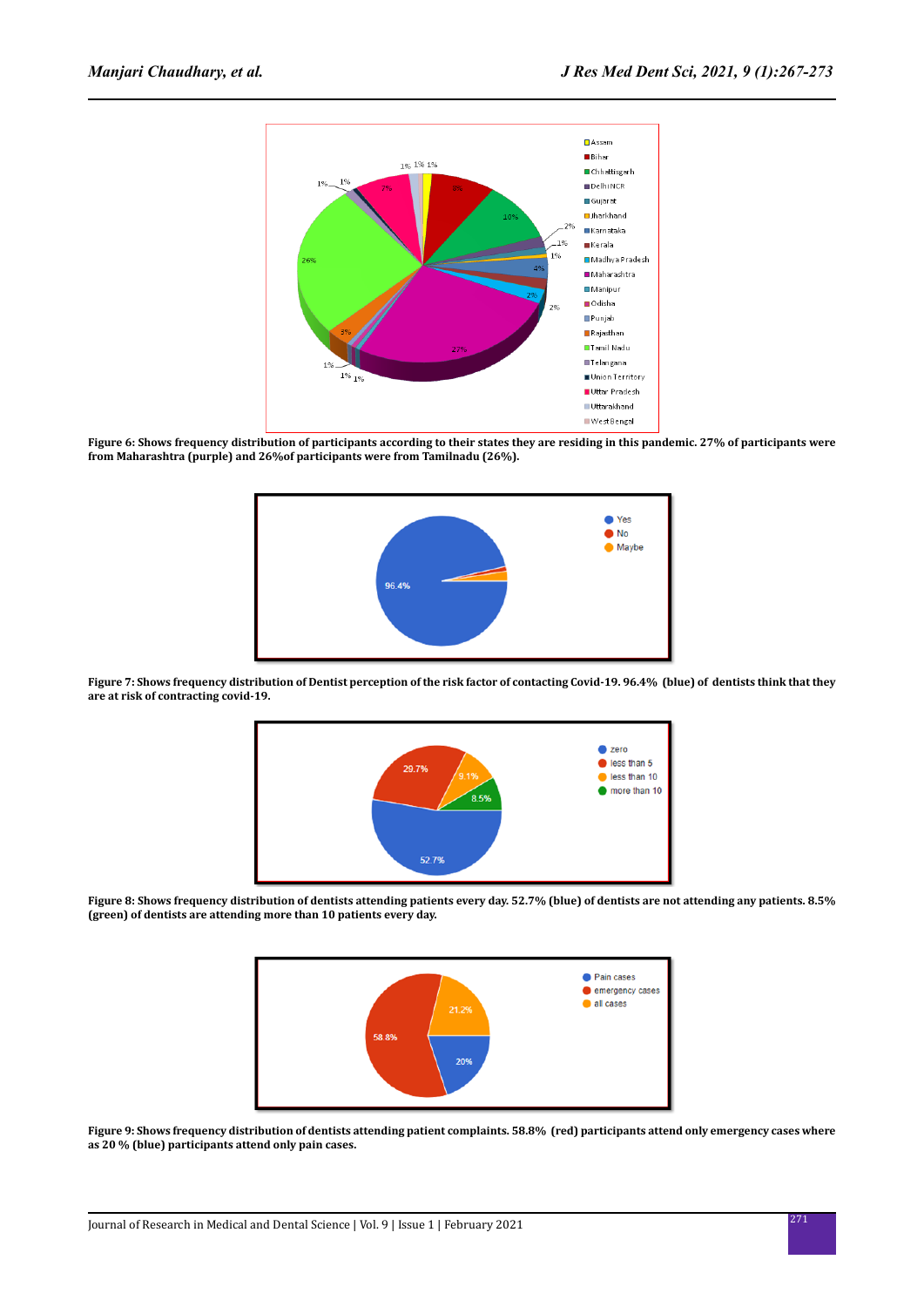

**Figure 6: Shows frequency distribution of participants according to their states they are residing in this pandemic. 27% of participants were from Maharashtra (purple) and 26%of participants were from Tamilnadu (26%).**



**Figure 7: Shows frequency distribution of Dentist perception of the risk factor of contacting Covid-19. 96.4% (blue) of dentists think that they are at risk of contracting covid-19.**



**Figure 8: Shows frequency distribution of dentists attending patients every day. 52.7% (blue) of dentists are not attending any patients. 8.5% (green) of dentists are attending more than 10 patients every day.**



**Figure 9: Shows frequency distribution of dentists attending patient complaints. 58.8% (red) participants attend only emergency cases where as 20 % (blue) participants attend only pain cases.**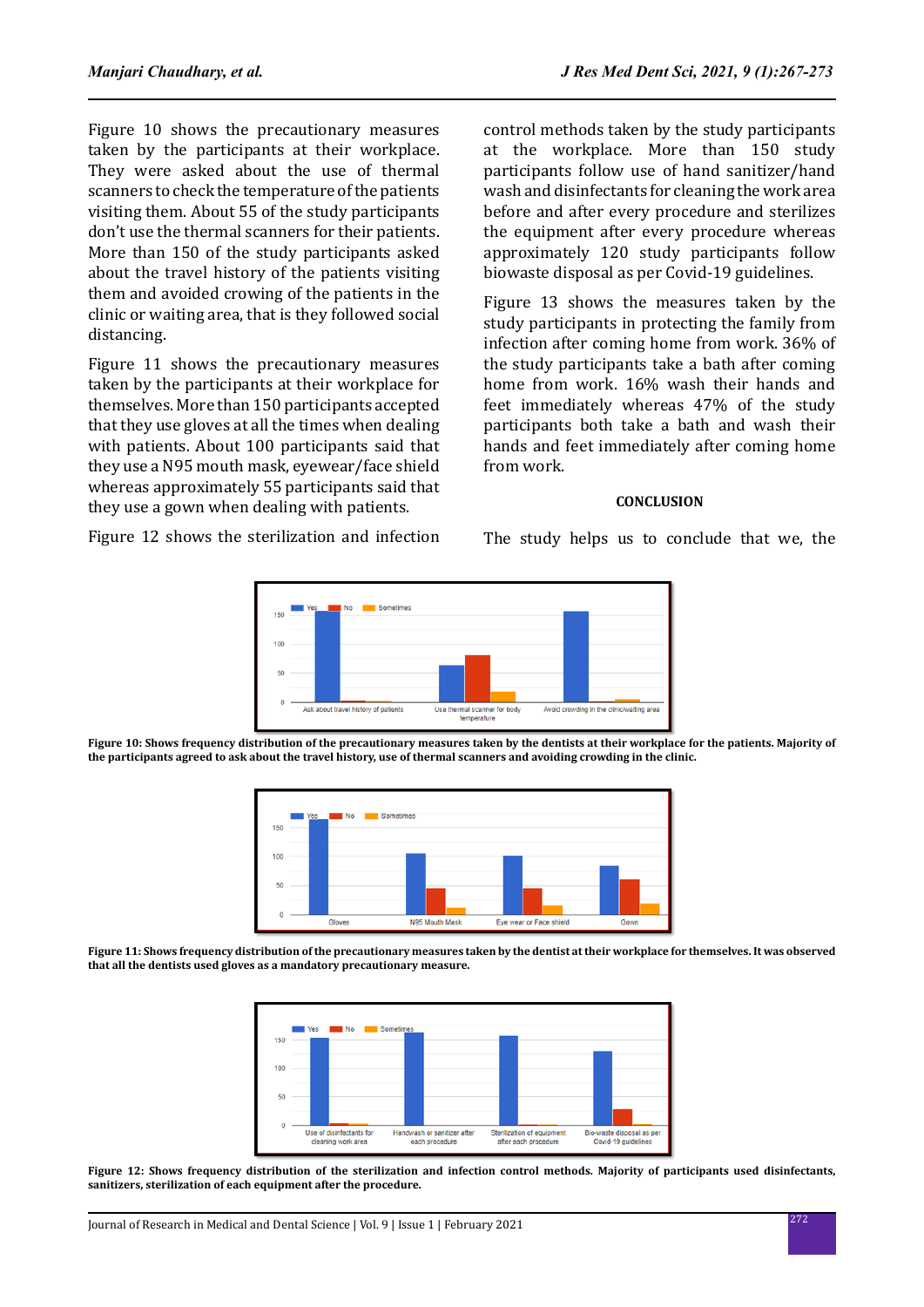Figure 10 shows the precautionary measures taken by the participants at their workplace. They were asked about the use of thermal scanners to check the temperature of the patients visiting them. About 55 of the study participants don't use the thermal scanners for their patients. More than 150 of the study participants asked about the travel history of the patients visiting them and avoided crowing of the patients in the clinic or waiting area, that is they followed social distancing.

Figure 11 shows the precautionary measures taken by the participants at their workplace for themselves. More than 150 participants accepted that they use gloves at all the times when dealing with patients. About 100 participants said that they use a N95 mouth mask, eyewear/face shield whereas approximately 55 participants said that they use a gown when dealing with patients.

Figure 12 shows the sterilization and infection

control methods taken by the study participants at the workplace. More than 150 study participants follow use of hand sanitizer/hand wash and disinfectants for cleaning the work area before and after every procedure and sterilizes the equipment after every procedure whereas approximately 120 study participants follow biowaste disposal as per Covid-19 guidelines.

Figure 13 shows the measures taken by the study participants in protecting the family from infection after coming home from work. 36% of the study participants take a bath after coming home from work. 16% wash their hands and feet immediately whereas 47% of the study participants both take a bath and wash their hands and feet immediately after coming home from work.

#### **CONCLUSION**

The study helps us to conclude that we, the



**Figure 10: Shows frequency distribution of the precautionary measures taken by the dentists at their workplace for the patients. Majority of the participants agreed to ask about the travel history, use of thermal scanners and avoiding crowding in the clinic.**



**Figure 11: Shows frequency distribution of the precautionary measures taken by the dentist at their workplace for themselves. It was observed that all the dentists used gloves as a mandatory precautionary measure.**



**Figure 12: Shows frequency distribution of the sterilization and infection control methods. Majority of participants used disinfectants, sanitizers, sterilization of each equipment after the procedure.**